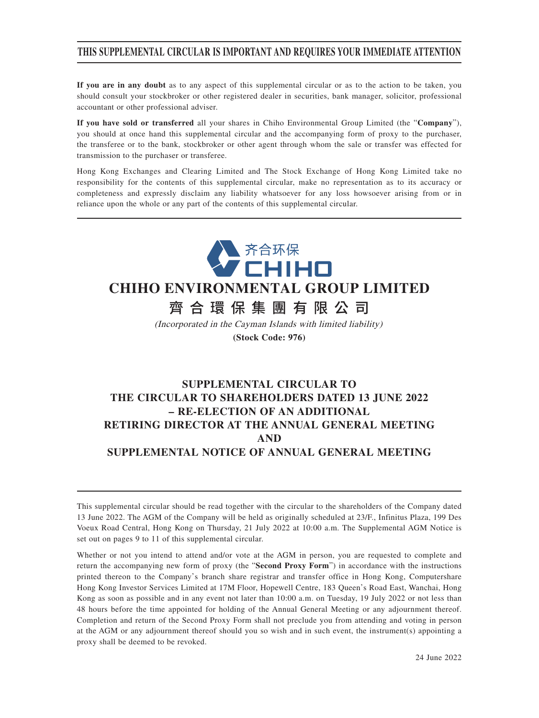## **THIS SUPPLEMENTAL CIRCULAR IS IMPORTANT AND REQUIRES YOUR IMMEDIATE ATTENTION**

**If you are in any doubt** as to any aspect of this supplemental circular or as to the action to be taken, you should consult your stockbroker or other registered dealer in securities, bank manager, solicitor, professional accountant or other professional adviser.

**If you have sold or transferred** all your shares in Chiho Environmental Group Limited (the "**Company**"), you should at once hand this supplemental circular and the accompanying form of proxy to the purchaser, the transferee or to the bank, stockbroker or other agent through whom the sale or transfer was effected for transmission to the purchaser or transferee.

Hong Kong Exchanges and Clearing Limited and The Stock Exchange of Hong Kong Limited take no responsibility for the contents of this supplemental circular, make no representation as to its accuracy or completeness and expressly disclaim any liability whatsoever for any loss howsoever arising from or in reliance upon the whole or any part of the contents of this supplemental circular.



# **CHIHO ENVIRONMENTAL GROUP LIMITED**

齊合環保集團有限公 司

(Incorporated in the Cayman Islands with limited liability) **(Stock Code: 976)**

**SUPPLEMENTAL CIRCULAR TO**

## **THE CIRCULAR TO SHAREHOLDERS DATED 13 JUNE 2022 – RE-ELECTION OF AN ADDITIONAL RETIRING DIRECTOR AT THE ANNUAL GENERAL MEETING AND SUPPLEMENTAL NOTICE OF ANNUAL GENERAL MEETING**

This supplemental circular should be read together with the circular to the shareholders of the Company dated 13 June 2022. The AGM of the Company will be held as originally scheduled at 23/F., Infinitus Plaza, 199 Des Voeux Road Central, Hong Kong on Thursday, 21 July 2022 at 10:00 a.m. The Supplemental AGM Notice is set out on pages 9 to 11 of this supplemental circular.

Whether or not you intend to attend and/or vote at the AGM in person, you are requested to complete and return the accompanying new form of proxy (the "**Second Proxy Form**") in accordance with the instructions printed thereon to the Company's branch share registrar and transfer office in Hong Kong, Computershare Hong Kong Investor Services Limited at 17M Floor, Hopewell Centre, 183 Queen's Road East, Wanchai, Hong Kong as soon as possible and in any event not later than 10:00 a.m. on Tuesday, 19 July 2022 or not less than 48 hours before the time appointed for holding of the Annual General Meeting or any adjournment thereof. Completion and return of the Second Proxy Form shall not preclude you from attending and voting in person at the AGM or any adjournment thereof should you so wish and in such event, the instrument(s) appointing a proxy shall be deemed to be revoked.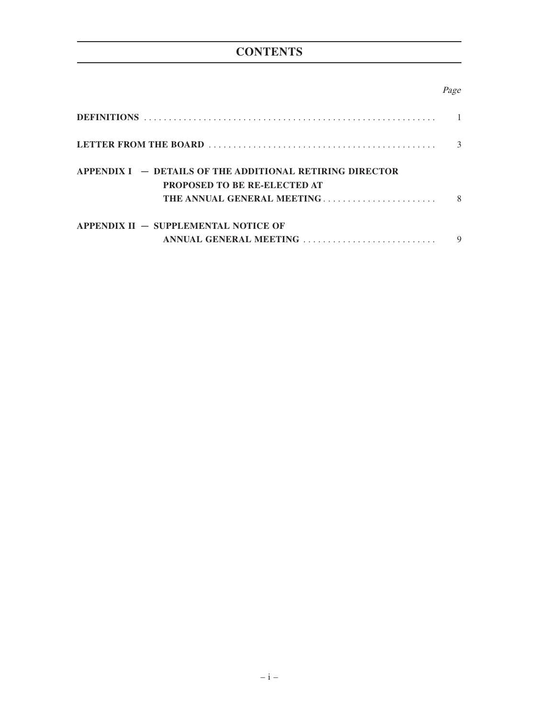# **CONTENTS**

## Page

|                                                                                                                                 | 3  |
|---------------------------------------------------------------------------------------------------------------------------------|----|
| $APPENDIX I = DETAILS OF THE ADDITIONAL RETIRING DIRECTOR$<br><b>PROPOSED TO BE RE-ELECTED AT</b><br>THE ANNUAL GENERAL MEETING | -8 |
| APPENDIX $II -$ SUPPLEMENTAL NOTICE OF<br>ANNUAL GENERAL MEETING                                                                | 9  |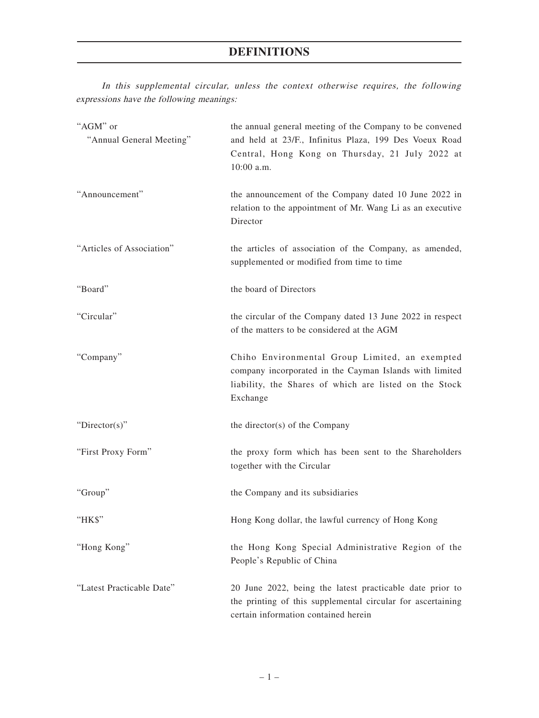In this supplemental circular, unless the context otherwise requires, the following expressions have the following meanings:

| "AGM" or<br>"Annual General Meeting" | the annual general meeting of the Company to be convened<br>and held at 23/F., Infinitus Plaza, 199 Des Voeux Road<br>Central, Hong Kong on Thursday, 21 July 2022 at<br>10:00 a.m. |
|--------------------------------------|-------------------------------------------------------------------------------------------------------------------------------------------------------------------------------------|
| "Announcement"                       | the announcement of the Company dated 10 June 2022 in<br>relation to the appointment of Mr. Wang Li as an executive<br>Director                                                     |
| "Articles of Association"            | the articles of association of the Company, as amended,<br>supplemented or modified from time to time                                                                               |
| "Board"                              | the board of Directors                                                                                                                                                              |
| "Circular"                           | the circular of the Company dated 13 June 2022 in respect<br>of the matters to be considered at the AGM                                                                             |
| "Company"                            | Chiho Environmental Group Limited, an exempted<br>company incorporated in the Cayman Islands with limited<br>liability, the Shares of which are listed on the Stock<br>Exchange     |
| "Director(s)"                        | the director(s) of the Company                                                                                                                                                      |
| "First Proxy Form"                   | the proxy form which has been sent to the Shareholders<br>together with the Circular                                                                                                |
| "Group"                              | the Company and its subsidiaries                                                                                                                                                    |
| "HK\$"                               | Hong Kong dollar, the lawful currency of Hong Kong                                                                                                                                  |
| "Hong Kong"                          | the Hong Kong Special Administrative Region of the<br>People's Republic of China                                                                                                    |
| "Latest Practicable Date"            | 20 June 2022, being the latest practicable date prior to<br>the printing of this supplemental circular for ascertaining<br>certain information contained herein                     |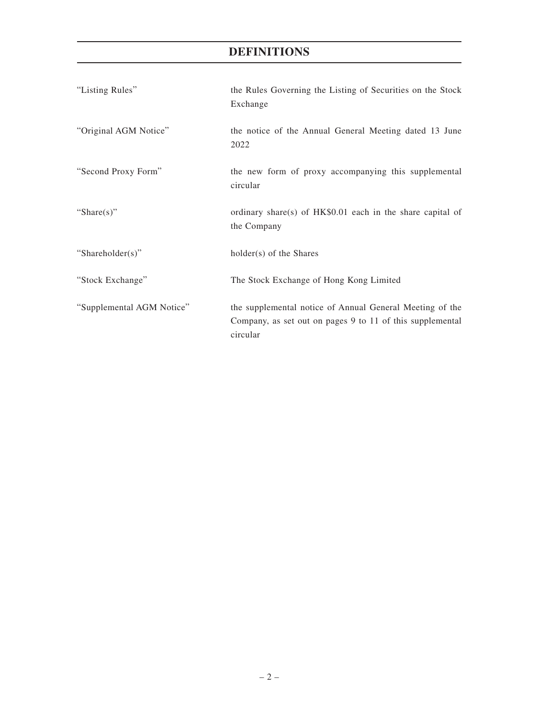# **DEFINITIONS**

| "Listing Rules"           | the Rules Governing the Listing of Securities on the Stock<br>Exchange                                                            |
|---------------------------|-----------------------------------------------------------------------------------------------------------------------------------|
| "Original AGM Notice"     | the notice of the Annual General Meeting dated 13 June<br>2022                                                                    |
| "Second Proxy Form"       | the new form of proxy accompanying this supplemental<br>circular                                                                  |
| "Share $(s)$ "            | ordinary share(s) of $HK$0.01$ each in the share capital of<br>the Company                                                        |
| "Shareholder(s)"          | $holder(s)$ of the Shares                                                                                                         |
| "Stock Exchange"          | The Stock Exchange of Hong Kong Limited                                                                                           |
| "Supplemental AGM Notice" | the supplemental notice of Annual General Meeting of the<br>Company, as set out on pages 9 to 11 of this supplemental<br>circular |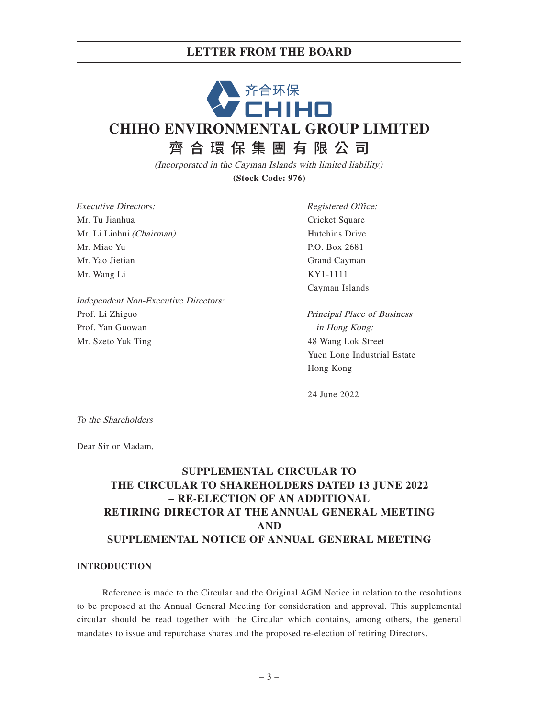# 齐合环保<br>CHIHO **CHIHO ENVIRONMENTAL GROUP LIMITED** 齊合環保集團有限公 司

(Incorporated in the Cayman Islands with limited liability) **(Stock Code: 976)**

Executive Directors: Mr. Tu Jianhua Mr. Li Linhui (Chairman) Mr. Miao Yu Mr. Yao Jietian Mr. Wang Li

Independent Non-Executive Directors: Prof. Li Zhiguo Prof. Yan Guowan Mr. Szeto Yuk Ting

Registered Office: Cricket Square Hutchins Drive P.O. Box 2681 Grand Cayman KY1-1111 Cayman Islands

Principal Place of Business in Hong Kong: 48 Wang Lok Street Yuen Long Industrial Estate Hong Kong

24 June 2022

To the Shareholders

Dear Sir or Madam,

# **SUPPLEMENTAL CIRCULAR TO THE CIRCULAR TO SHAREHOLDERS DATED 13 JUNE 2022 – RE-ELECTION OF AN ADDITIONAL RETIRING DIRECTOR AT THE ANNUAL GENERAL MEETING AND SUPPLEMENTAL NOTICE OF ANNUAL GENERAL MEETING**

## **INTRODUCTION**

Reference is made to the Circular and the Original AGM Notice in relation to the resolutions to be proposed at the Annual General Meeting for consideration and approval. This supplemental circular should be read together with the Circular which contains, among others, the general mandates to issue and repurchase shares and the proposed re-election of retiring Directors.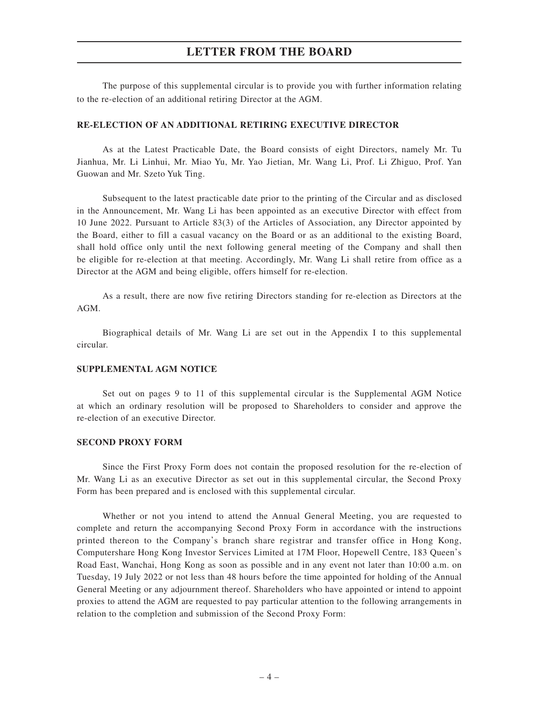The purpose of this supplemental circular is to provide you with further information relating to the re-election of an additional retiring Director at the AGM.

#### **RE-ELECTION OF AN ADDITIONAL RETIRING EXECUTIVE DIRECTOR**

As at the Latest Practicable Date, the Board consists of eight Directors, namely Mr. Tu Jianhua, Mr. Li Linhui, Mr. Miao Yu, Mr. Yao Jietian, Mr. Wang Li, Prof. Li Zhiguo, Prof. Yan Guowan and Mr. Szeto Yuk Ting.

Subsequent to the latest practicable date prior to the printing of the Circular and as disclosed in the Announcement, Mr. Wang Li has been appointed as an executive Director with effect from 10 June 2022. Pursuant to Article 83(3) of the Articles of Association, any Director appointed by the Board, either to fill a casual vacancy on the Board or as an additional to the existing Board, shall hold office only until the next following general meeting of the Company and shall then be eligible for re-election at that meeting. Accordingly, Mr. Wang Li shall retire from office as a Director at the AGM and being eligible, offers himself for re-election.

As a result, there are now five retiring Directors standing for re-election as Directors at the AGM.

Biographical details of Mr. Wang Li are set out in the Appendix I to this supplemental circular.

#### **SUPPLEMENTAL AGM NOTICE**

Set out on pages 9 to 11 of this supplemental circular is the Supplemental AGM Notice at which an ordinary resolution will be proposed to Shareholders to consider and approve the re-election of an executive Director.

#### **SECOND PROXY FORM**

Since the First Proxy Form does not contain the proposed resolution for the re-election of Mr. Wang Li as an executive Director as set out in this supplemental circular, the Second Proxy Form has been prepared and is enclosed with this supplemental circular.

Whether or not you intend to attend the Annual General Meeting, you are requested to complete and return the accompanying Second Proxy Form in accordance with the instructions printed thereon to the Company's branch share registrar and transfer office in Hong Kong, Computershare Hong Kong Investor Services Limited at 17M Floor, Hopewell Centre, 183 Queen's Road East, Wanchai, Hong Kong as soon as possible and in any event not later than 10:00 a.m. on Tuesday, 19 July 2022 or not less than 48 hours before the time appointed for holding of the Annual General Meeting or any adjournment thereof. Shareholders who have appointed or intend to appoint proxies to attend the AGM are requested to pay particular attention to the following arrangements in relation to the completion and submission of the Second Proxy Form: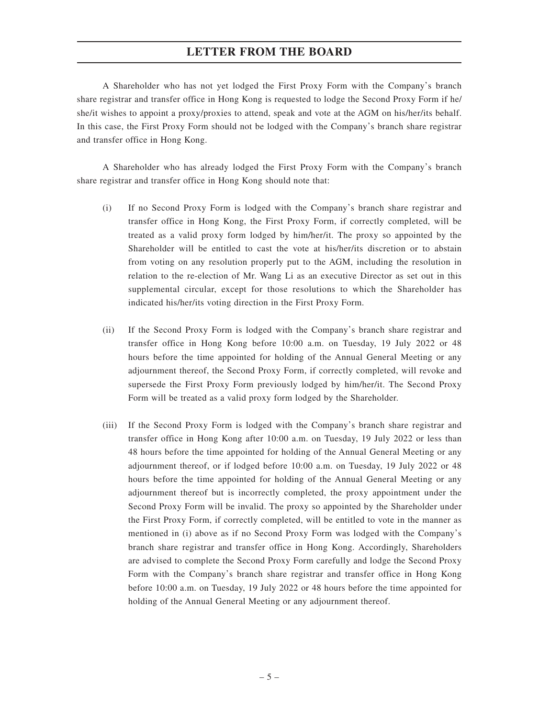A Shareholder who has not yet lodged the First Proxy Form with the Company's branch share registrar and transfer office in Hong Kong is requested to lodge the Second Proxy Form if he/ she/it wishes to appoint a proxy/proxies to attend, speak and vote at the AGM on his/her/its behalf. In this case, the First Proxy Form should not be lodged with the Company's branch share registrar and transfer office in Hong Kong.

A Shareholder who has already lodged the First Proxy Form with the Company's branch share registrar and transfer office in Hong Kong should note that:

- (i) If no Second Proxy Form is lodged with the Company's branch share registrar and transfer office in Hong Kong, the First Proxy Form, if correctly completed, will be treated as a valid proxy form lodged by him/her/it. The proxy so appointed by the Shareholder will be entitled to cast the vote at his/her/its discretion or to abstain from voting on any resolution properly put to the AGM, including the resolution in relation to the re-election of Mr. Wang Li as an executive Director as set out in this supplemental circular, except for those resolutions to which the Shareholder has indicated his/her/its voting direction in the First Proxy Form.
- (ii) If the Second Proxy Form is lodged with the Company's branch share registrar and transfer office in Hong Kong before 10:00 a.m. on Tuesday, 19 July 2022 or 48 hours before the time appointed for holding of the Annual General Meeting or any adjournment thereof, the Second Proxy Form, if correctly completed, will revoke and supersede the First Proxy Form previously lodged by him/her/it. The Second Proxy Form will be treated as a valid proxy form lodged by the Shareholder.
- (iii) If the Second Proxy Form is lodged with the Company's branch share registrar and transfer office in Hong Kong after 10:00 a.m. on Tuesday, 19 July 2022 or less than 48 hours before the time appointed for holding of the Annual General Meeting or any adjournment thereof, or if lodged before 10:00 a.m. on Tuesday, 19 July 2022 or 48 hours before the time appointed for holding of the Annual General Meeting or any adjournment thereof but is incorrectly completed, the proxy appointment under the Second Proxy Form will be invalid. The proxy so appointed by the Shareholder under the First Proxy Form, if correctly completed, will be entitled to vote in the manner as mentioned in (i) above as if no Second Proxy Form was lodged with the Company's branch share registrar and transfer office in Hong Kong. Accordingly, Shareholders are advised to complete the Second Proxy Form carefully and lodge the Second Proxy Form with the Company's branch share registrar and transfer office in Hong Kong before 10:00 a.m. on Tuesday, 19 July 2022 or 48 hours before the time appointed for holding of the Annual General Meeting or any adjournment thereof.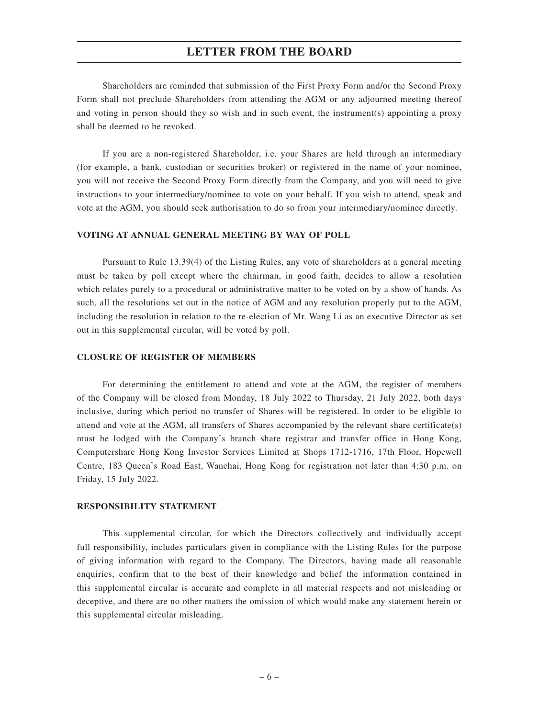Shareholders are reminded that submission of the First Proxy Form and/or the Second Proxy Form shall not preclude Shareholders from attending the AGM or any adjourned meeting thereof and voting in person should they so wish and in such event, the instrument(s) appointing a proxy shall be deemed to be revoked.

If you are a non-registered Shareholder, i.e. your Shares are held through an intermediary (for example, a bank, custodian or securities broker) or registered in the name of your nominee, you will not receive the Second Proxy Form directly from the Company, and you will need to give instructions to your intermediary/nominee to vote on your behalf. If you wish to attend, speak and vote at the AGM, you should seek authorisation to do so from your intermediary/nominee directly.

#### **VOTING AT ANNUAL GENERAL MEETING BY WAY OF POLL**

Pursuant to Rule 13.39(4) of the Listing Rules, any vote of shareholders at a general meeting must be taken by poll except where the chairman, in good faith, decides to allow a resolution which relates purely to a procedural or administrative matter to be voted on by a show of hands. As such, all the resolutions set out in the notice of AGM and any resolution properly put to the AGM, including the resolution in relation to the re-election of Mr. Wang Li as an executive Director as set out in this supplemental circular, will be voted by poll.

#### **CLOSURE OF REGISTER OF MEMBERS**

For determining the entitlement to attend and vote at the AGM, the register of members of the Company will be closed from Monday, 18 July 2022 to Thursday, 21 July 2022, both days inclusive, during which period no transfer of Shares will be registered. In order to be eligible to attend and vote at the AGM, all transfers of Shares accompanied by the relevant share certificate(s) must be lodged with the Company's branch share registrar and transfer office in Hong Kong, Computershare Hong Kong Investor Services Limited at Shops 1712-1716, 17th Floor, Hopewell Centre, 183 Queen's Road East, Wanchai, Hong Kong for registration not later than 4:30 p.m. on Friday, 15 July 2022.

#### **RESPONSIBILITY STATEMENT**

This supplemental circular, for which the Directors collectively and individually accept full responsibility, includes particulars given in compliance with the Listing Rules for the purpose of giving information with regard to the Company. The Directors, having made all reasonable enquiries, confirm that to the best of their knowledge and belief the information contained in this supplemental circular is accurate and complete in all material respects and not misleading or deceptive, and there are no other matters the omission of which would make any statement herein or this supplemental circular misleading.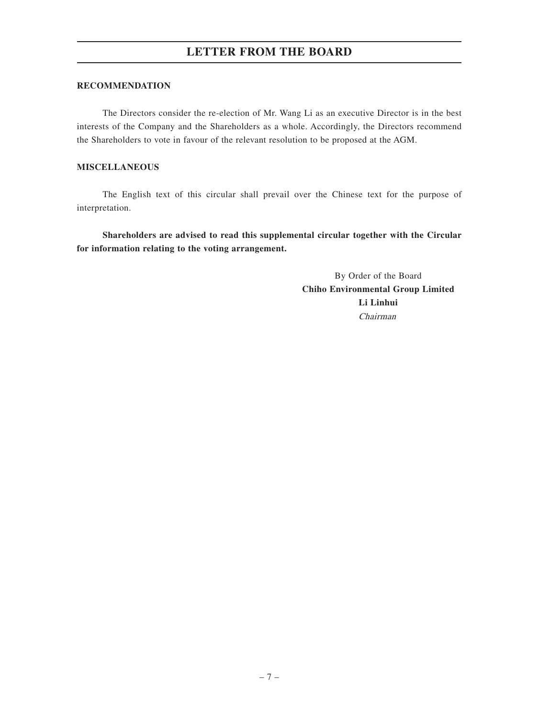#### **RECOMMENDATION**

The Directors consider the re-election of Mr. Wang Li as an executive Director is in the best interests of the Company and the Shareholders as a whole. Accordingly, the Directors recommend the Shareholders to vote in favour of the relevant resolution to be proposed at the AGM.

## **MISCELLANEOUS**

The English text of this circular shall prevail over the Chinese text for the purpose of interpretation.

**Shareholders are advised to read this supplemental circular together with the Circular for information relating to the voting arrangement.**

> By Order of the Board **Chiho Environmental Group Limited Li Linhui** Chairman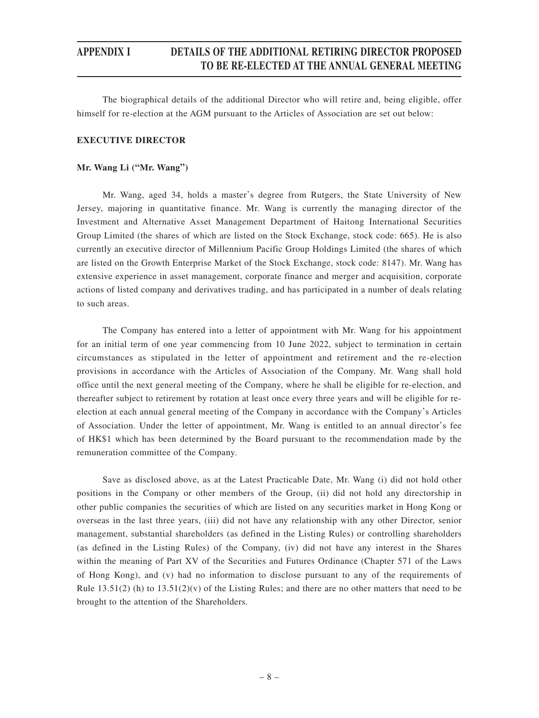## **APPENDIX I DETAILS OF THE ADDITIONAL RETIRING DIRECTOR PROPOSED TO BE RE-ELECTED AT THE ANNUAL GENERAL MEETING**

The biographical details of the additional Director who will retire and, being eligible, offer himself for re-election at the AGM pursuant to the Articles of Association are set out below:

## **EXECUTIVE DIRECTOR**

#### **Mr. Wang Li ("Mr. Wang")**

Mr. Wang, aged 34, holds a master's degree from Rutgers, the State University of New Jersey, majoring in quantitative finance. Mr. Wang is currently the managing director of the Investment and Alternative Asset Management Department of Haitong International Securities Group Limited (the shares of which are listed on the Stock Exchange, stock code: 665). He is also currently an executive director of Millennium Pacific Group Holdings Limited (the shares of which are listed on the Growth Enterprise Market of the Stock Exchange, stock code: 8147). Mr. Wang has extensive experience in asset management, corporate finance and merger and acquisition, corporate actions of listed company and derivatives trading, and has participated in a number of deals relating to such areas.

The Company has entered into a letter of appointment with Mr. Wang for his appointment for an initial term of one year commencing from 10 June 2022, subject to termination in certain circumstances as stipulated in the letter of appointment and retirement and the re-election provisions in accordance with the Articles of Association of the Company. Mr. Wang shall hold office until the next general meeting of the Company, where he shall be eligible for re-election, and thereafter subject to retirement by rotation at least once every three years and will be eligible for reelection at each annual general meeting of the Company in accordance with the Company's Articles of Association. Under the letter of appointment, Mr. Wang is entitled to an annual director's fee of HK\$1 which has been determined by the Board pursuant to the recommendation made by the remuneration committee of the Company.

Save as disclosed above, as at the Latest Practicable Date, Mr. Wang (i) did not hold other positions in the Company or other members of the Group, (ii) did not hold any directorship in other public companies the securities of which are listed on any securities market in Hong Kong or overseas in the last three years, (iii) did not have any relationship with any other Director, senior management, substantial shareholders (as defined in the Listing Rules) or controlling shareholders (as defined in the Listing Rules) of the Company, (iv) did not have any interest in the Shares within the meaning of Part XV of the Securities and Futures Ordinance (Chapter 571 of the Laws of Hong Kong), and (v) had no information to disclose pursuant to any of the requirements of Rule  $13.51(2)$  (h) to  $13.51(2)(v)$  of the Listing Rules; and there are no other matters that need to be brought to the attention of the Shareholders.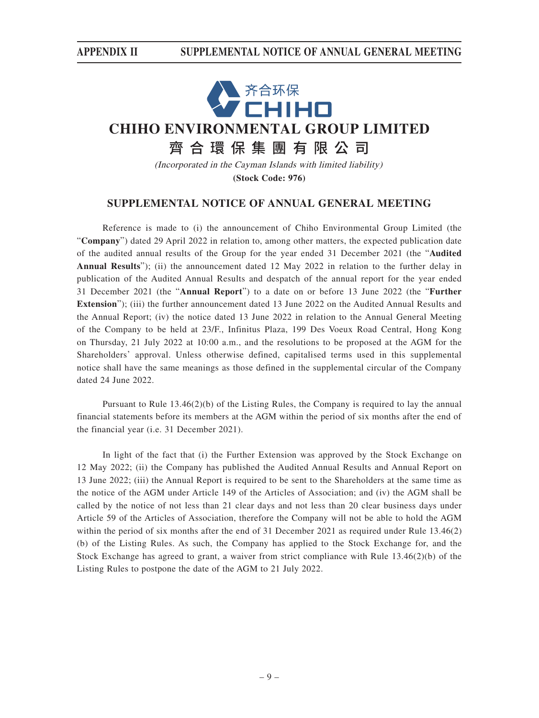

(Incorporated in the Cayman Islands with limited liability) **(Stock Code: 976)**

## **SUPPLEMENTAL NOTICE OF ANNUAL GENERAL MEETING**

Reference is made to (i) the announcement of Chiho Environmental Group Limited (the "**Company**") dated 29 April 2022 in relation to, among other matters, the expected publication date of the audited annual results of the Group for the year ended 31 December 2021 (the "**Audited Annual Results**"); (ii) the announcement dated 12 May 2022 in relation to the further delay in publication of the Audited Annual Results and despatch of the annual report for the year ended 31 December 2021 (the "**Annual Report**") to a date on or before 13 June 2022 (the "**Further Extension**"); (iii) the further announcement dated 13 June 2022 on the Audited Annual Results and the Annual Report; (iv) the notice dated 13 June 2022 in relation to the Annual General Meeting of the Company to be held at 23/F., Infinitus Plaza, 199 Des Voeux Road Central, Hong Kong on Thursday, 21 July 2022 at 10:00 a.m., and the resolutions to be proposed at the AGM for the Shareholders' approval. Unless otherwise defined, capitalised terms used in this supplemental notice shall have the same meanings as those defined in the supplemental circular of the Company dated 24 June 2022.

Pursuant to Rule 13.46(2)(b) of the Listing Rules, the Company is required to lay the annual financial statements before its members at the AGM within the period of six months after the end of the financial year (i.e. 31 December 2021).

In light of the fact that (i) the Further Extension was approved by the Stock Exchange on 12 May 2022; (ii) the Company has published the Audited Annual Results and Annual Report on 13 June 2022; (iii) the Annual Report is required to be sent to the Shareholders at the same time as the notice of the AGM under Article 149 of the Articles of Association; and (iv) the AGM shall be called by the notice of not less than 21 clear days and not less than 20 clear business days under Article 59 of the Articles of Association, therefore the Company will not be able to hold the AGM within the period of six months after the end of 31 December 2021 as required under Rule 13.46(2) (b) of the Listing Rules. As such, the Company has applied to the Stock Exchange for, and the Stock Exchange has agreed to grant, a waiver from strict compliance with Rule  $13.46(2)(b)$  of the Listing Rules to postpone the date of the AGM to 21 July 2022.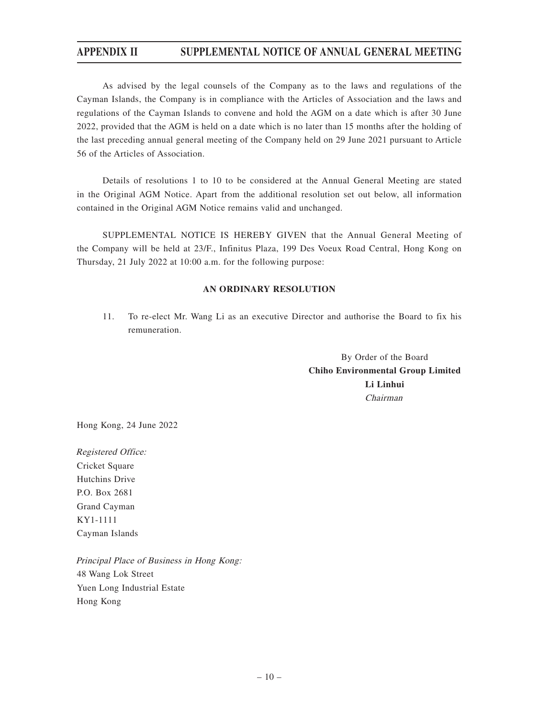# **APPENDIX II SUPPLEMENTAL NOTICE OF ANNUAL GENERAL MEETING**

As advised by the legal counsels of the Company as to the laws and regulations of the Cayman Islands, the Company is in compliance with the Articles of Association and the laws and regulations of the Cayman Islands to convene and hold the AGM on a date which is after 30 June 2022, provided that the AGM is held on a date which is no later than 15 months after the holding of the last preceding annual general meeting of the Company held on 29 June 2021 pursuant to Article 56 of the Articles of Association.

Details of resolutions 1 to 10 to be considered at the Annual General Meeting are stated in the Original AGM Notice. Apart from the additional resolution set out below, all information contained in the Original AGM Notice remains valid and unchanged.

SUPPLEMENTAL NOTICE IS HEREBY GIVEN that the Annual General Meeting of the Company will be held at 23/F., Infinitus Plaza, 199 Des Voeux Road Central, Hong Kong on Thursday, 21 July 2022 at 10:00 a.m. for the following purpose:

#### **AN ORDINARY RESOLUTION**

11. To re-elect Mr. Wang Li as an executive Director and authorise the Board to fix his remuneration.

> By Order of the Board **Chiho Environmental Group Limited Li Linhui** Chairman

Hong Kong, 24 June 2022

Registered Office: Cricket Square Hutchins Drive P.O. Box 2681 Grand Cayman KY1-1111 Cayman Islands

Principal Place of Business in Hong Kong: 48 Wang Lok Street Yuen Long Industrial Estate Hong Kong